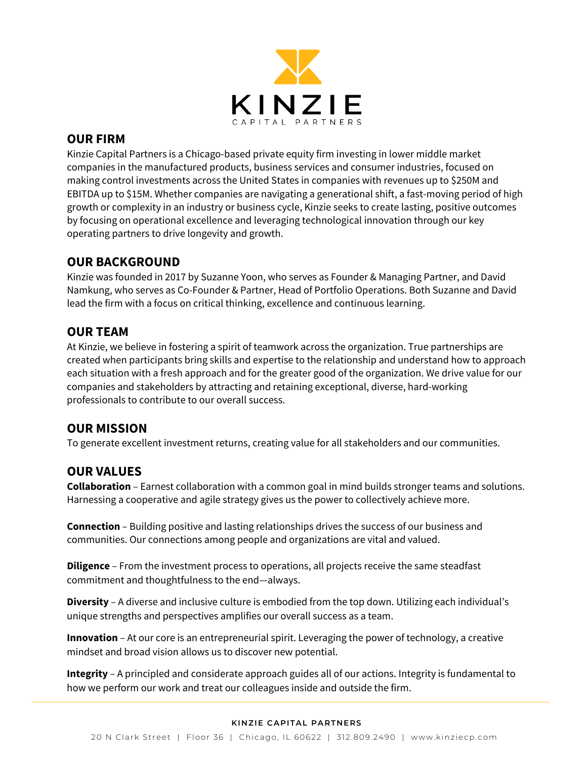

## **OUR FIRM**

Kinzie Capital Partners is a Chicago-based private equity firm investing in lower middle market companies in the manufactured products, business services and consumer industries, focused on making control investments across the United States in companies with revenues up to \$250M and EBITDA up to \$15M. Whether companies are navigating a generational shift, a fast-moving period of high growth or complexity in an industry or business cycle, Kinzie seeks to create lasting, positive outcomes by focusing on operational excellence and leveraging technological innovation through our key operating partners to drive longevity and growth.

## **OUR BACKGROUND**

Kinzie was founded in 2017 by Suzanne Yoon, who serves as Founder & Managing Partner, and David Namkung, who serves as Co-Founder & Partner, Head of Portfolio Operations. Both Suzanne and David lead the firm with a focus on critical thinking, excellence and continuous learning.

# **OUR TEAM**

At Kinzie, we believe in fostering a spirit of teamwork across the organization. True partnerships are created when participants bring skills and expertise to the relationship and understand how to approach each situation with a fresh approach and for the greater good of the organization. We drive value for our companies and stakeholders by attracting and retaining exceptional, diverse, hard-working professionals to contribute to our overall success.

# **OUR MISSION**

To generate excellent investment returns, creating value for all stakeholders and our communities.

# **OUR VALUES**

**Collaboration** – Earnest collaboration with a common goal in mind builds stronger teams and solutions. Harnessing a cooperative and agile strategy gives us the power to collectively achieve more.

**Connection** – Building positive and lasting relationships drives the success of our business and communities. Our connections among people and organizations are vital and valued.

**Diligence** – From the investment process to operations, all projects receive the same steadfast commitment and thoughtfulness to the end—always.

**Diversity** – A diverse and inclusive culture is embodied from the top down. Utilizing each individual's unique strengths and perspectives amplifies our overall success as a team.

**Innovation** – At our core is an entrepreneurial spirit. Leveraging the power of technology, a creative mindset and broad vision allows us to discover new potential.

**Integrity** – A principled and considerate approach guides all of our actions. Integrity is fundamental to how we perform our work and treat our colleagues inside and outside the firm.

#### **KINZIE CAPITAL PARTNERS**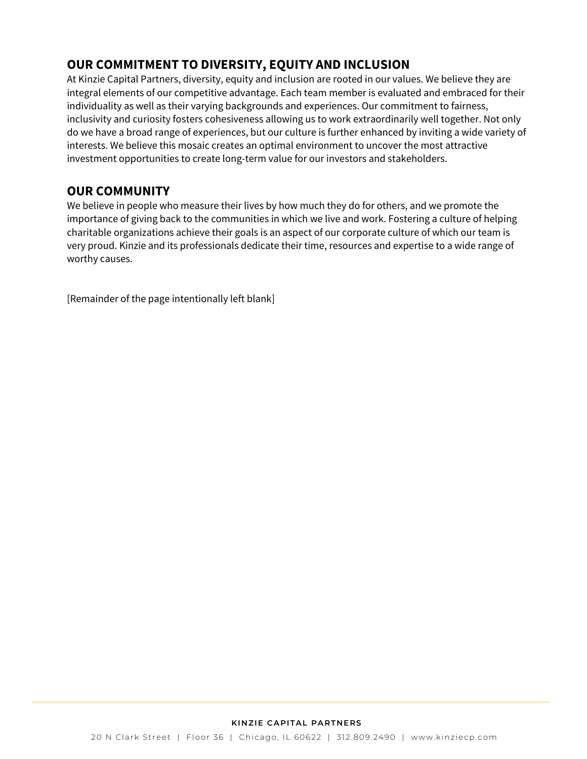# **OUR COMMITMENT TO DIVERSITY, EQUITY AND INCLUSION**

At Kinzie Capital Partners, diversity, equity and inclusion are rooted in our values. We believe they are integral elements of our competitive advantage. Each team member is evaluated and embraced for their individuality as well as their varying backgrounds and experiences. Our commitment to fairness, inclusivity and curiosity fosters cohesiveness allowing us to work extraordinarily well together. Not only do we have a broad range of experiences, but our culture is further enhanced by inviting a wide variety of interests. We believe this mosaic creates an optimal environment to uncover the most attractive investment opportunities to create long-term value for our investors and stakeholders.

# **OUR COMMUNITY**

We believe in people who measure their lives by how much they do for others, and we promote the importance of giving back to the communities in which we live and work. Fostering a culture of helping charitable organizations achieve their goals is an aspect of our corporate culture of which our team is very proud. Kinzie and its professionals dedicate their time, resources and expertise to a wide range of worthy causes.

[Remainder of the page intentionally left blank]

### **KINZIE CAPITAL PARTNERS**

20 N Clark Street | Floor 36 | Chicago, IL 60622 | 312.809.2490 | www.kinziecp.com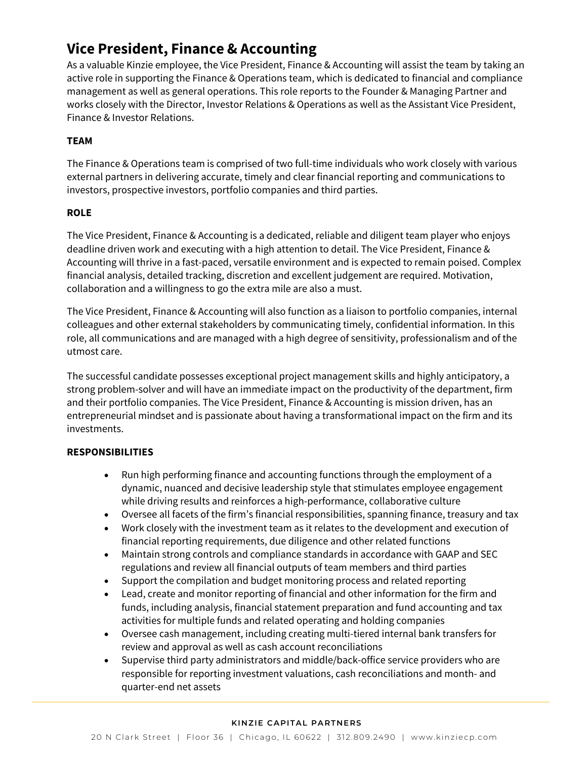# **Vice President, Finance & Accounting**

As a valuable Kinzie employee, the Vice President, Finance & Accounting will assist the team by taking an active role in supporting the Finance & Operations team, which is dedicated to financial and compliance management as well as general operations. This role reports to the Founder & Managing Partner and works closely with the Director, Investor Relations & Operations as well as the Assistant Vice President, Finance & Investor Relations.

## **TEAM**

The Finance & Operations team is comprised of two full-time individuals who work closely with various external partners in delivering accurate, timely and clear financial reporting and communications to investors, prospective investors, portfolio companies and third parties.

## **ROLE**

The Vice President, Finance & Accounting is a dedicated, reliable and diligent team player who enjoys deadline driven work and executing with a high attention to detail. The Vice President, Finance & Accounting will thrive in a fast-paced, versatile environment and is expected to remain poised. Complex financial analysis, detailed tracking, discretion and excellent judgement are required. Motivation, collaboration and a willingness to go the extra mile are also a must.

The Vice President, Finance & Accounting will also function as a liaison to portfolio companies, internal colleagues and other external stakeholders by communicating timely, confidential information. In this role, all communications and are managed with a high degree of sensitivity, professionalism and of the utmost care.

The successful candidate possesses exceptional project management skills and highly anticipatory, a strong problem-solver and will have an immediate impact on the productivity of the department, firm and their portfolio companies. The Vice President, Finance & Accounting is mission driven, has an entrepreneurial mindset and is passionate about having a transformational impact on the firm and its investments.

## **RESPONSIBILITIES**

- Run high performing finance and accounting functions through the employment of a dynamic, nuanced and decisive leadership style that stimulates employee engagement while driving results and reinforces a high-performance, collaborative culture
- Oversee all facets of the firm's financial responsibilities, spanning finance, treasury and tax
- Work closely with the investment team as it relates to the development and execution of financial reporting requirements, due diligence and other related functions
- Maintain strong controls and compliance standards in accordance with GAAP and SEC regulations and review all financial outputs of team members and third parties
- Support the compilation and budget monitoring process and related reporting
- Lead, create and monitor reporting of financial and other information for the firm and funds, including analysis, financial statement preparation and fund accounting and tax activities for multiple funds and related operating and holding companies
- Oversee cash management, including creating multi-tiered internal bank transfers for review and approval as well as cash account reconciliations
- Supervise third party administrators and middle/back-office service providers who are responsible for reporting investment valuations, cash reconciliations and month- and quarter-end net assets

#### **KINZIE CAPITAL PARTNERS**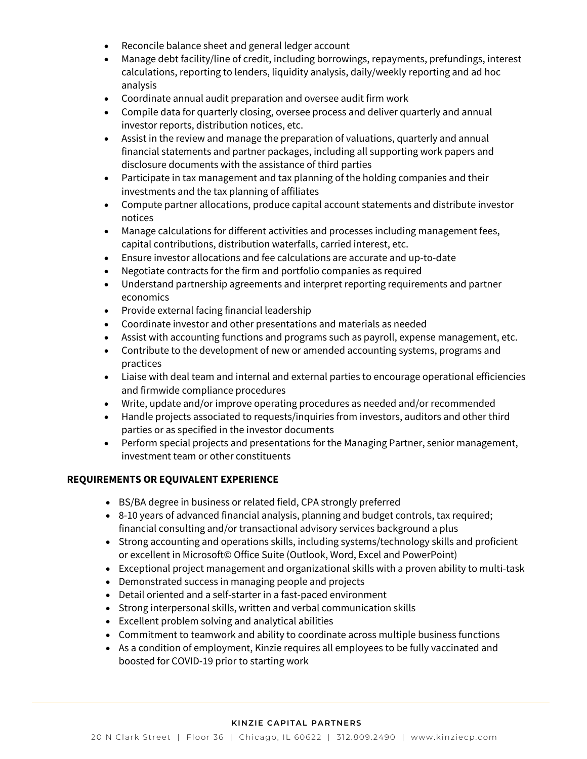- Reconcile balance sheet and general ledger account
- Manage debt facility/line of credit, including borrowings, repayments, prefundings, interest calculations, reporting to lenders, liquidity analysis, daily/weekly reporting and ad hoc analysis
- Coordinate annual audit preparation and oversee audit firm work
- Compile data for quarterly closing, oversee process and deliver quarterly and annual investor reports, distribution notices, etc.
- Assist in the review and manage the preparation of valuations, quarterly and annual financial statements and partner packages, including all supporting work papers and disclosure documents with the assistance of third parties
- Participate in tax management and tax planning of the holding companies and their investments and the tax planning of affiliates
- Compute partner allocations, produce capital account statements and distribute investor notices
- Manage calculations for different activities and processes including management fees, capital contributions, distribution waterfalls, carried interest, etc.
- Ensure investor allocations and fee calculations are accurate and up-to-date
- Negotiate contracts for the firm and portfolio companies as required
- Understand partnership agreements and interpret reporting requirements and partner economics
- Provide external facing financial leadership
- Coordinate investor and other presentations and materials as needed
- Assist with accounting functions and programs such as payroll, expense management, etc.
- Contribute to the development of new or amended accounting systems, programs and practices
- Liaise with deal team and internal and external parties to encourage operational efficiencies and firmwide compliance procedures
- Write, update and/or improve operating procedures as needed and/or recommended
- Handle projects associated to requests/inquiries from investors, auditors and other third parties or as specified in the investor documents
- Perform special projects and presentations for the Managing Partner, senior management, investment team or other constituents

## **REQUIREMENTS OR EQUIVALENT EXPERIENCE**

- BS/BA degree in business or related field, CPA strongly preferred
- 8-10 years of advanced financial analysis, planning and budget controls, tax required; financial consulting and/or transactional advisory services background a plus
- Strong accounting and operations skills, including systems/technology skills and proficient or excellent in Microsoft© Office Suite (Outlook, Word, Excel and PowerPoint)
- Exceptional project management and organizational skills with a proven ability to multi-task
- Demonstrated success in managing people and projects
- Detail oriented and a self-starter in a fast-paced environment
- Strong interpersonal skills, written and verbal communication skills
- Excellent problem solving and analytical abilities
- Commitment to teamwork and ability to coordinate across multiple business functions
- As a condition of employment, Kinzie requires all employees to be fully vaccinated and boosted for COVID-19 prior to starting work

#### **KINZIE CAPITAL PARTNERS**